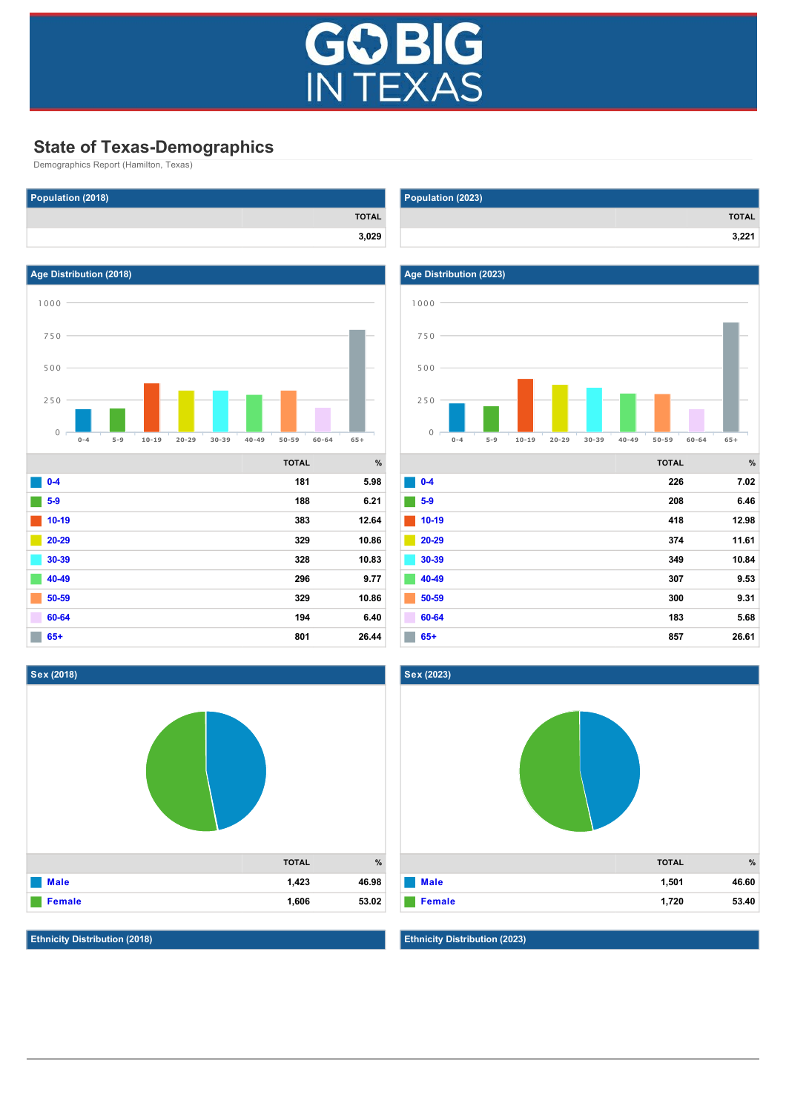

# **State of Texas-Demographics**

Demographics Report (Hamilton, Texas)







**Ethnicity Distribution (2018)**

| Population (2023) |              |
|-------------------|--------------|
|                   | <b>TOTAL</b> |
|                   | 3,221        |



|         | <b>TOTAL</b> | %     |
|---------|--------------|-------|
| $0-4$   | 226          | 7.02  |
| $5-9$   | 208          | 6.46  |
| $10-19$ | 418          | 12.98 |
| 20-29   | 374          | 11.61 |
| 30-39   | 349          | 10.84 |
| 40-49   | 307          | 9.53  |
| 50-59   | 300          | 9.31  |
| 60-64   | 183          | 5.68  |
| $65+$   | 857          | 26.61 |



**Ethnicity Distribution (2023)**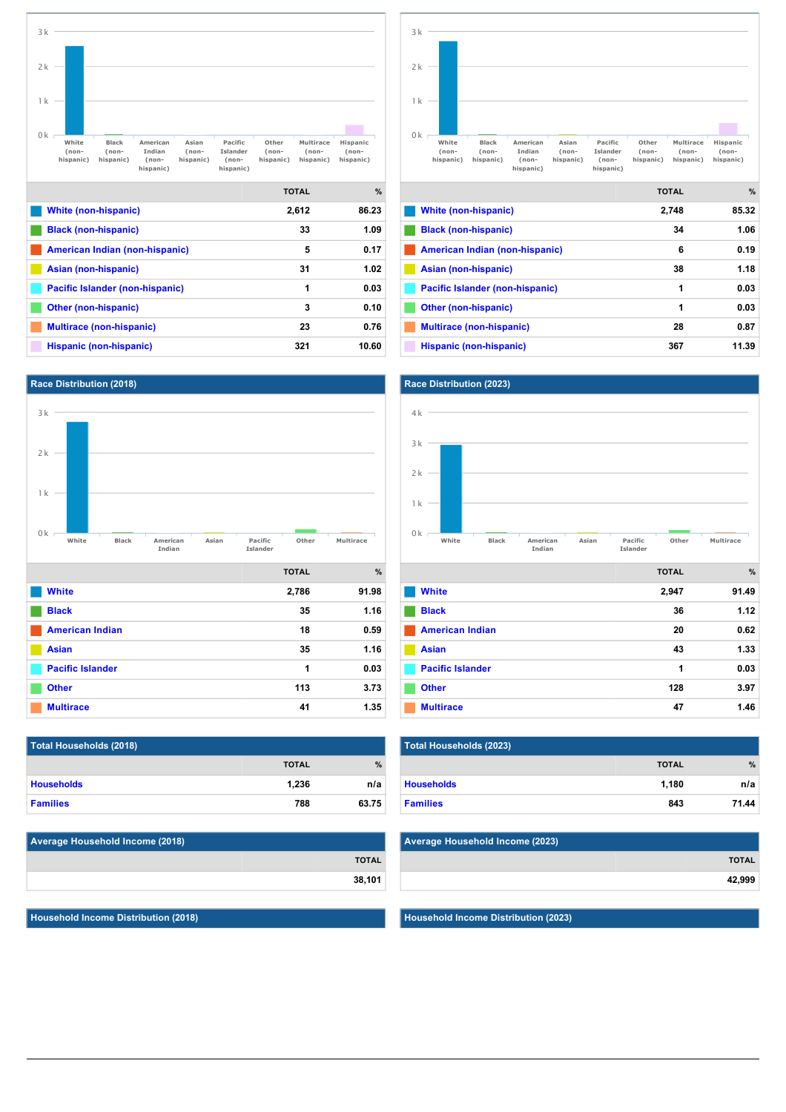







| Total Households (2018) |              |               |
|-------------------------|--------------|---------------|
|                         | <b>TOTAL</b> | $\frac{9}{6}$ |
| <b>Households</b>       | 1.236        | n/a           |
| <b>Families</b>         | 788          | 63.75         |

| Average Household Income (2018) |              |
|---------------------------------|--------------|
|                                 | <b>TOTAL</b> |
|                                 | 38,101       |

**Household Income Distribution (2018)**



**Indian**

**[Other \(nonhispanic\)](http://texas.zoomprospector.com/#) 1 0.03 [Multirace \(nonhispanic\)](http://texas.zoomprospector.com/#) 28 0.87 [Hispanic \(nonhispanic\)](http://texas.zoomprospector.com/#) 367 11.39**

 $\sim$ 

|                         | <b>TOTAL</b> | %     |
|-------------------------|--------------|-------|
| <b>White</b>            | 2,947        | 91.49 |
| <b>Black</b>            | 36           | 1.12  |
| <b>American Indian</b>  | 20           | 0.62  |
| <b>Asian</b>            | 43           | 1.33  |
| <b>Pacific Islander</b> | 1            | 0.03  |
| <b>Other</b>            | 128          | 3.97  |
| <b>Multirace</b>        | 47           | 1.46  |

**Islander**

| Total Households (2023) |              |       |
|-------------------------|--------------|-------|
|                         | <b>TOTAL</b> | %     |
| <b>Households</b>       | 1.180        | n/a   |
| <b>Families</b>         | 843          | 71.44 |

| Average Household Income (2023) |              |
|---------------------------------|--------------|
|                                 | <b>TOTAL</b> |
|                                 | 42,999       |

**Household Income Distribution (2023)**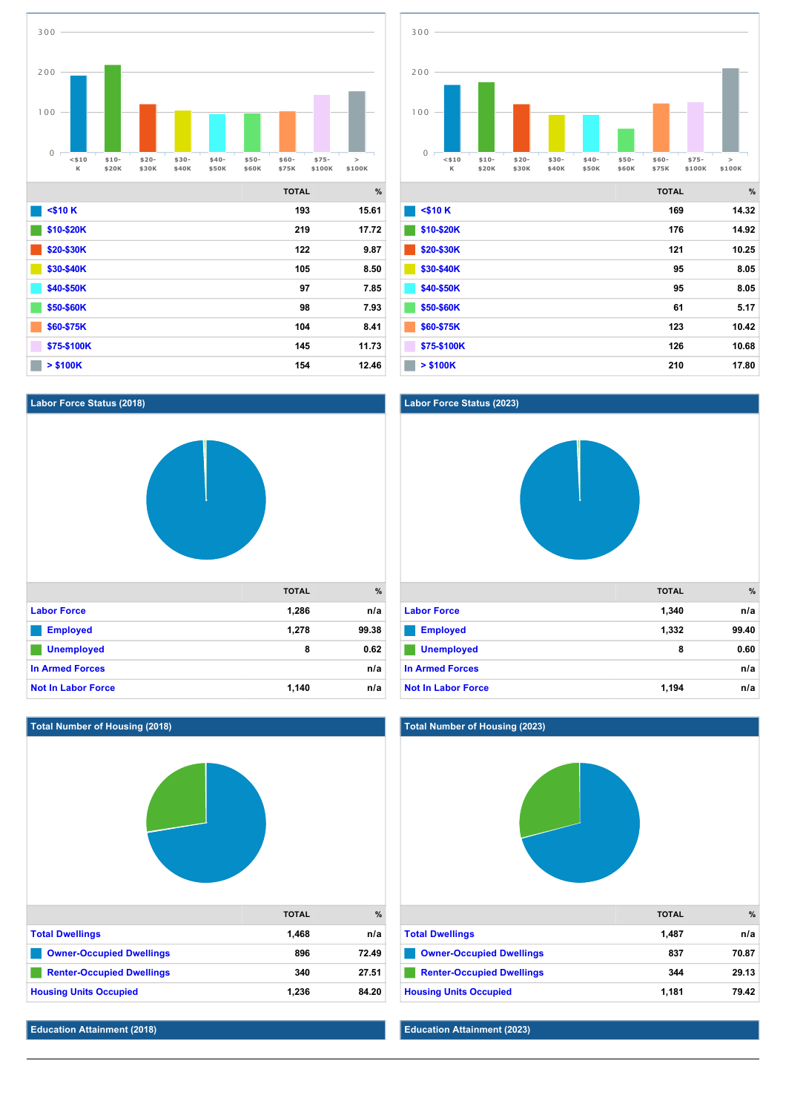

**[\\$40\\$50K](http://texas.zoomprospector.com/#) 97 7.85 [\\$50\\$60K](http://texas.zoomprospector.com/#) 98 7.93 [\\$60\\$75K](http://texas.zoomprospector.com/#) 104 8.41 [\\$75\\$100K](http://texas.zoomprospector.com/#) 145 11.73 [> \\$100K](http://texas.zoomprospector.com/#) 154 12.46**



|              | <b>TOTAL</b> | %     |
|--------------|--------------|-------|
| $<$ \$10 $K$ | 169          | 14.32 |
| \$10-\$20K   | 176          | 14.92 |
| \$20-\$30K   | 121          | 10.25 |
| \$30-\$40K   | 95           | 8.05  |
| \$40-\$50K   | 95           | 8.05  |
| \$50-\$60K   | 61           | 5.17  |
| \$60-\$75K   | 123          | 10.42 |
| \$75-\$100K  | 126          | 10.68 |
| $>$ \$100K   | 210          | 17.80 |

## **Labor Force Status (2018)**



# **TOTAL % [Labor Force](http://texas.zoomprospector.com/#) 1,340 n/a [Employed](http://texas.zoomprospector.com/#) 1,332 99.40 [Unemployed](http://texas.zoomprospector.com/#) 8 0.60 [In Armed Forces](http://texas.zoomprospector.com/#) n/a [Not In Labor Force](http://texas.zoomprospector.com/#) 1,194 n/a**



#### **Total Number of Housing (2023)**

**Labor Force Status (2023)**



### **Education Attainment (2023)**

750

**Education Attainment (2018)**

750